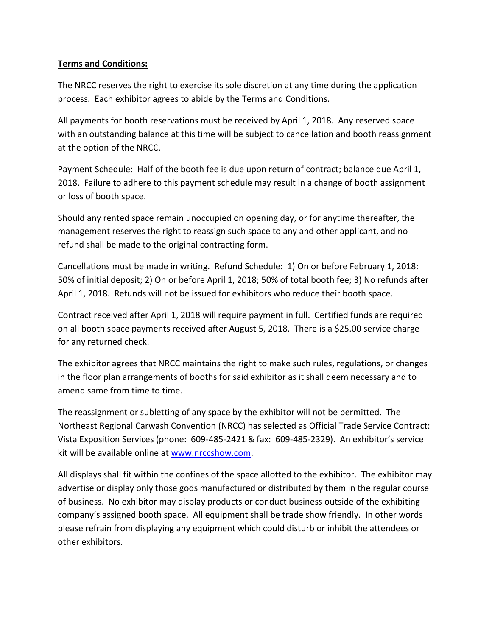## **Terms and Conditions:**

The NRCC reserves the right to exercise its sole discretion at any time during the application process. Each exhibitor agrees to abide by the Terms and Conditions.

All payments for booth reservations must be received by April 1, 2018. Any reserved space with an outstanding balance at this time will be subject to cancellation and booth reassignment at the option of the NRCC.

Payment Schedule: Half of the booth fee is due upon return of contract; balance due April 1, 2018. Failure to adhere to this payment schedule may result in a change of booth assignment or loss of booth space.

Should any rented space remain unoccupied on opening day, or for anytime thereafter, the management reserves the right to reassign such space to any and other applicant, and no refund shall be made to the original contracting form.

Cancellations must be made in writing. Refund Schedule: 1) On or before February 1, 2018: 50% of initial deposit; 2) On or before April 1, 2018; 50% of total booth fee; 3) No refunds after April 1, 2018. Refunds will not be issued for exhibitors who reduce their booth space.

Contract received after April 1, 2018 will require payment in full. Certified funds are required on all booth space payments received after August 5, 2018. There is a \$25.00 service charge for any returned check.

The exhibitor agrees that NRCC maintains the right to make such rules, regulations, or changes in the floor plan arrangements of booths for said exhibitor as it shall deem necessary and to amend same from time to time.

The reassignment or subletting of any space by the exhibitor will not be permitted. The Northeast Regional Carwash Convention (NRCC) has selected as Official Trade Service Contract: Vista Exposition Services (phone: 609-485-2421 & fax: 609-485-2329). An exhibitor's service kit will be available online at [www.nrccshow.com.](http://www.nrccshow.com/)

All displays shall fit within the confines of the space allotted to the exhibitor. The exhibitor may advertise or display only those gods manufactured or distributed by them in the regular course of business. No exhibitor may display products or conduct business outside of the exhibiting company's assigned booth space. All equipment shall be trade show friendly. In other words please refrain from displaying any equipment which could disturb or inhibit the attendees or other exhibitors.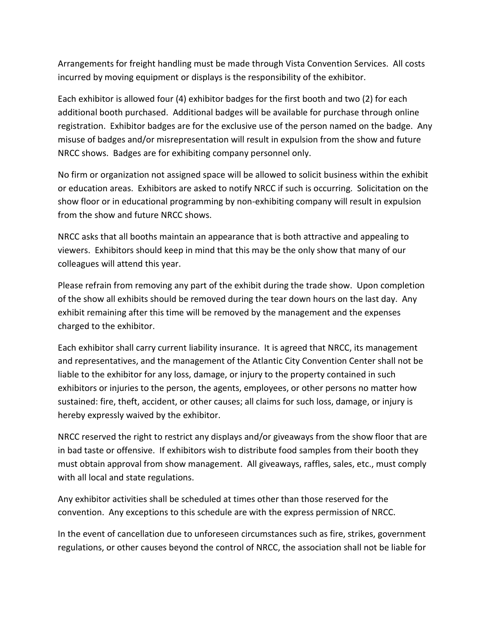Arrangements for freight handling must be made through Vista Convention Services. All costs incurred by moving equipment or displays is the responsibility of the exhibitor.

Each exhibitor is allowed four (4) exhibitor badges for the first booth and two (2) for each additional booth purchased. Additional badges will be available for purchase through online registration. Exhibitor badges are for the exclusive use of the person named on the badge. Any misuse of badges and/or misrepresentation will result in expulsion from the show and future NRCC shows. Badges are for exhibiting company personnel only.

No firm or organization not assigned space will be allowed to solicit business within the exhibit or education areas. Exhibitors are asked to notify NRCC if such is occurring. Solicitation on the show floor or in educational programming by non-exhibiting company will result in expulsion from the show and future NRCC shows.

NRCC asks that all booths maintain an appearance that is both attractive and appealing to viewers. Exhibitors should keep in mind that this may be the only show that many of our colleagues will attend this year.

Please refrain from removing any part of the exhibit during the trade show. Upon completion of the show all exhibits should be removed during the tear down hours on the last day. Any exhibit remaining after this time will be removed by the management and the expenses charged to the exhibitor.

Each exhibitor shall carry current liability insurance. It is agreed that NRCC, its management and representatives, and the management of the Atlantic City Convention Center shall not be liable to the exhibitor for any loss, damage, or injury to the property contained in such exhibitors or injuries to the person, the agents, employees, or other persons no matter how sustained: fire, theft, accident, or other causes; all claims for such loss, damage, or injury is hereby expressly waived by the exhibitor.

NRCC reserved the right to restrict any displays and/or giveaways from the show floor that are in bad taste or offensive. If exhibitors wish to distribute food samples from their booth they must obtain approval from show management. All giveaways, raffles, sales, etc., must comply with all local and state regulations.

Any exhibitor activities shall be scheduled at times other than those reserved for the convention. Any exceptions to this schedule are with the express permission of NRCC.

In the event of cancellation due to unforeseen circumstances such as fire, strikes, government regulations, or other causes beyond the control of NRCC, the association shall not be liable for